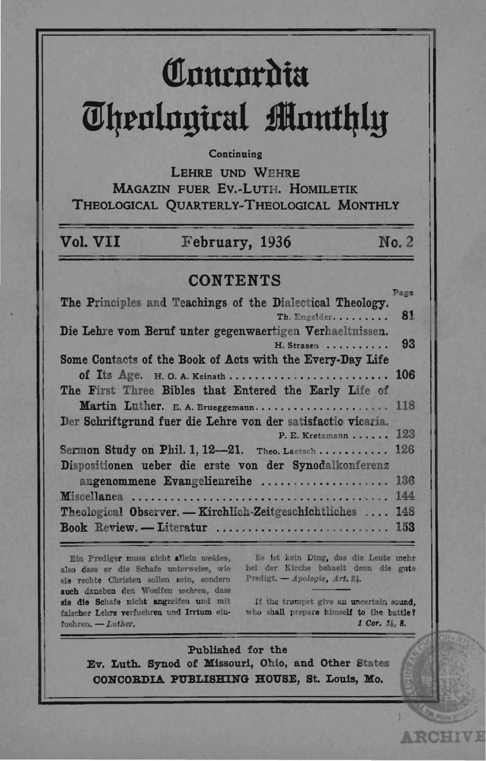# Comeordia **Theological Monthly**

# Continuing

LEHRE UND WEHRE MAGAZIN FUER EV.-LUTH, HOMILETIK THEOLOGICAL QUARTERLY-THEOLOGICAL MONTHLY

| Vol. VII | February, 1936 | No. 2 |
|----------|----------------|-------|
|          |                |       |

# **CONTENTS**

| 81<br>Th. Engelder.<br>Die Lehre vom Beruf unter gegenwaertigen Verhaeltnissen.<br>H. Strasen<br>Some Contacts of the Book of Acts with the Every-Day Life<br>of Its Age. H.O.A. Keinath 106<br>The First Three Bibles that Entered the Early Life of<br>Martin Luther. E. A. Brueggemann 118<br>Der Schriftgrund fuer die Lehre von der satisfactio vicaria.<br>P. E. Kretzmann 123<br>Sermon Study on Phil. 1, $12-21$ . Theo. Laetsch 126<br>Dispositionen ueber die erste von der Synodalkonferenz<br>angenommene Evangelienreihe  136<br>Theological Observer. - Kirchlich-Zeitgeschichtliches  148<br>Book Review. - Literatur  153 |                                                           | Page |
|-------------------------------------------------------------------------------------------------------------------------------------------------------------------------------------------------------------------------------------------------------------------------------------------------------------------------------------------------------------------------------------------------------------------------------------------------------------------------------------------------------------------------------------------------------------------------------------------------------------------------------------------|-----------------------------------------------------------|------|
|                                                                                                                                                                                                                                                                                                                                                                                                                                                                                                                                                                                                                                           | The Principles and Teachings of the Dialectical Theology. |      |
|                                                                                                                                                                                                                                                                                                                                                                                                                                                                                                                                                                                                                                           |                                                           |      |
|                                                                                                                                                                                                                                                                                                                                                                                                                                                                                                                                                                                                                                           |                                                           |      |
|                                                                                                                                                                                                                                                                                                                                                                                                                                                                                                                                                                                                                                           |                                                           | 93   |
|                                                                                                                                                                                                                                                                                                                                                                                                                                                                                                                                                                                                                                           |                                                           |      |
|                                                                                                                                                                                                                                                                                                                                                                                                                                                                                                                                                                                                                                           |                                                           |      |
|                                                                                                                                                                                                                                                                                                                                                                                                                                                                                                                                                                                                                                           |                                                           |      |
|                                                                                                                                                                                                                                                                                                                                                                                                                                                                                                                                                                                                                                           |                                                           |      |
|                                                                                                                                                                                                                                                                                                                                                                                                                                                                                                                                                                                                                                           |                                                           |      |
|                                                                                                                                                                                                                                                                                                                                                                                                                                                                                                                                                                                                                                           |                                                           |      |
|                                                                                                                                                                                                                                                                                                                                                                                                                                                                                                                                                                                                                                           |                                                           |      |
|                                                                                                                                                                                                                                                                                                                                                                                                                                                                                                                                                                                                                                           |                                                           |      |
|                                                                                                                                                                                                                                                                                                                                                                                                                                                                                                                                                                                                                                           |                                                           |      |
|                                                                                                                                                                                                                                                                                                                                                                                                                                                                                                                                                                                                                                           |                                                           |      |
|                                                                                                                                                                                                                                                                                                                                                                                                                                                                                                                                                                                                                                           |                                                           |      |
|                                                                                                                                                                                                                                                                                                                                                                                                                                                                                                                                                                                                                                           |                                                           |      |

Ein Prediger muss nicht allein weiden, also dass er die Schafe unterweise, wie sie rechte Christen sollen sein, sondern auch daneben den Woelfen wehren, dass sie die Schafe nicht angreifen und mit falscher Lehre verfuehren und Irrtum einfuehren. - Luther.

Es ist kein Ding, das die Leute mehr bei der Kirche behaelt denn die gute Predigt. - Apologie, Art. 24.

If the trumpet give an uncertain sound. who shall prepare himself to the battle? 1 Cor. 14, 8.

**ARCHIVE** 

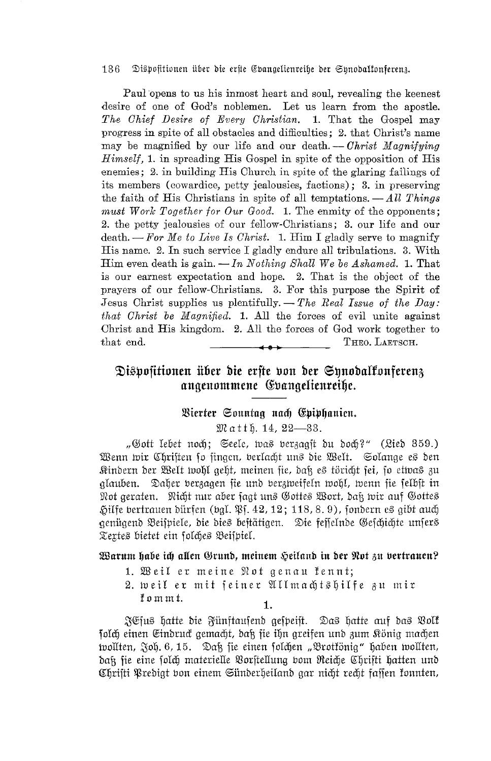Paul opens to us his inmost heart and soul, revealing the keenest desire of one of God's noblemen. Let us learn from the apostle. The Chief Desire of Every Christian. 1. That the Gospel may progress in spite of all obstacles and difficulties; 2. that Christ's name may be magnified by our life and our death.  $-$  Christ Magnifying Himself, 1. in spreading His Gospel in spite of the opposition of His enemies; 2. in building His Church in spite of the glaring failings of its members (cowardice, petty jealousies, factions); 3, in preserving the faith of His Christians in spite of all temptations.  $-All$  Things must Work Together for Our Good. 1. The enmity of the opponents; 2. the petty jealousies of our fellow-Christians; 3. our life and our death.  $-For$  Me to Live Is Christ. 1. Him I gladly serve to magnify His name. 2. In such service I gladly endure all tribulations. 3. With Him even death is gain.  $\frac{1}{n}$  Nothing Shall We be Ashamed. 1. That is our earnest expectation and hope. 2. That is the object of the prayers of our fellow-Christians. 3. For this purpose the Spirit of Jesus Christ supplies us plentifully.  $-$  The Real Issue of the Day: that Christ be Magnified. 1. All the forces of evil unite against Christ and His kingdom. 2. All the forces of God work together to that end. THEO. LAETSCH.

# Dispositionen über die erste von der Synodalkonferenz angenommene Gvangelienreihe.

### Bierter Sonntag nach Epiphanien.

#### $\mathfrak{M}$  atth. 14, 22-83.

"Gott lebet noch: Seele, was verzaast du doch?" (Lied 359.) Wenn wir Christen so singen, verlacht uns die Welt. Solange es den Kindern der Welt tvohl geht, meinen fie, daß es töricht fei, fo ettvas zu glauben. Daher berzagen fie und berzweifeln wohl, wenn fie felbft in Not geraten. Nicht nur aber jagt uns Gottes Wort, daß wir auf Gottes Hilfe bertrauen dürfen (bgl. Pf. 42, 12; 118, 8.9), fondern es gibt auch genügend Beispiele, die dies bestätigen. Die fesselnde Geschichte unsers Textes bietet ein folches Beispiel.

## Warum habe ich allen Grund, meinem Heiland in der Not zu vertrauen?

- 1. Weil er meine Not genau fennt;
- 2. weil er mit seiner Allmachtshilfe zu mir fommt.  $\mathbf{1}$

JEfus hatte die Fünftaufend gespeist. Das hatte auf das Volk folch einen Eindruck gemacht, daß sie ihn greifen und zum König machen tvollten, Joh. 6, 15. Daß sie einen solchen "Brotkönig" haben tvollten, dak fie eine solch materielle Vorstellung vom Reiche Christi hatten und Chrifti Predigt von einem Sünderheiland gar nicht recht fassen fonnten,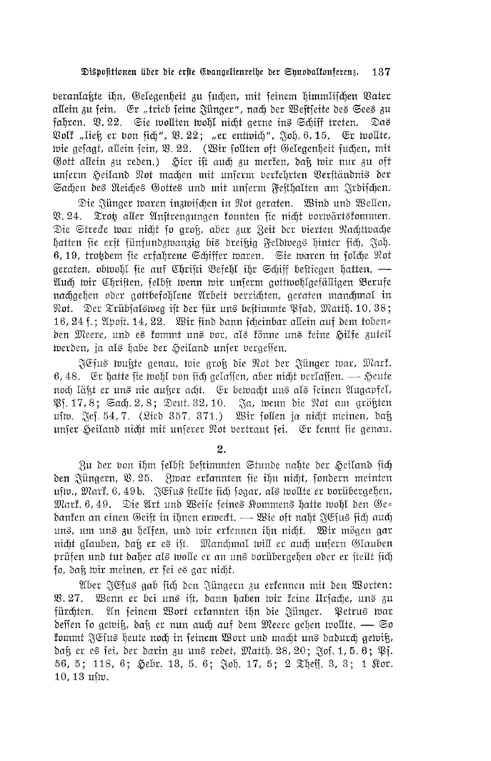beranlaßte ihn, Gelegenheit zu suchen, mit seinem himmlischen Vater allein zu sein. Er "trieb seine Zünger", nach der Weitseite des Sees zu fahren. V. 22. Sie wollten wohl nicht gerne ins Schiff treten. Das Wolf "ließ er von sich", V. 22; "er entwich", Joh. 6, 15. Er wollte, wie gesagt, allein sein, V. 22. (Wir sollten oft Gelegenheit suchen, mit Gott allein zu reden.) Hier ist auch zu merken, daß wir nur zu oft unserm Seiland Not machen mit unserm verkehrten Verständnis der Sachen des Reiches Gottes und mit unserm Festhalten am Irdischen.

Die Zünger waren inzwischen in Not geraten. Wind und Wellen, Trot aller Anstrengungen konnten sie nicht vorwärtskommen.  $\Re$ , 24. Die Strecke war nicht so groß, aber zur Zeit der vierten Nachtwache hatten fie erft fünfundzwanzig bis dreißig Feldwegs hinter fich, Joh. 6, 19, trotdem sie erfahrene Schiffer waren. Sie waren in folche Not geraten, obtvohl fie auf Christi Befehl ihr Schiff bestiegen hatten. — Auch wir Christen, selbst wenn wir unserm gottwohlgefälligen Berufe nachgehen oder gottbefohlene Arbeit berrichten, geraten manchmal in Not. Der Trübfalsweg ift der für uns bestimmte Pfad, Matth. 10, 38; 16, 24 f.; Apost. 14, 22. Wir sind dann scheinbar allein auf dem toben= den Meere, und es kommt uns vor, als könne uns keine Hilfe zuteil werden, ja als habe der Heiland unfer vergeffen.

FCJus wußte genau, wie groß die Not der Fünger war, Mark. 6, 48. Er hatte fie wohl von fich gelaffen, aber nicht verlaffen.  $\longrightarrow$  Heute noch läkt er uns nie auker acht. Er bewacht uns als seinen Augapfel, PH. 17, 8; Sach. 2, 8; Deut. 32, 10. Ja, wenn die Not am größten usto. Jef. 54, 7. (Lied 357. 371.) Wir follen ja nicht meinen, daß unser Heiland nicht mit unserer Not vertraut sei. Er kennt sie genau.

 $\overline{2}$ .

Zu der von ihm felbst bestimmten Stunde nahte der Heiland sich den Jüngern, V. 25. Zwar erkannten sie ihn nicht, sondern meinten ufw., Mark. 6, 49b. JEfus ftellte fich fogar, als wollte er borübergehen, Mark. 6, 49. Die Art und Weise feines Kommens hatte wohl den Ge= danken an einen Geift in ihnen erweckt. — Wie oft naht JEJus fich auch uns, um uns zu helfen, und wir erkennen ihn nicht. Wir mögen gar nicht glauben, daß er es ift. Manchmal will er auch unsern Glauben prüfen und tut daher als wolle er an uns borübergehen oder er ftellt fich jo, daß wir meinen, er fei es gar nicht.

Aber JEfus gab fich den Jüngern zu erkennen mit den Worten: Wenn er bei uns ist, dann haben wir keine Ursache, uns zu  $93.27.$ fürchten. An seinem Wort erkannten ihn die Zünger. Petrus war deffen so gewiß, daß er nun auch auf dem Meere gehen wollte. — So fommt JEfus heute noch in feinem Wort und macht uns dadurch gewiß, daß er es sei, der darin zu uns redet, Matth. 28, 20; Jos. 1, 5, 6; PS. 56, 5; 118, 6; Hebr. 13, 5. 6; Joh. 17, 5; 2 The fi. 3, 3; 1 Ror.  $10, 13$  ufiv.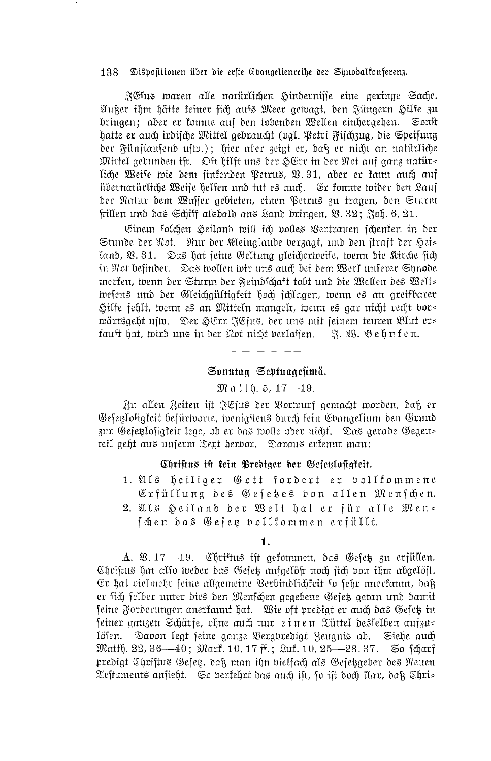FCfus waren alle natürlichen Hinderniffe eine geringe Sache. Außer ihm hätte feiner sich aufs Meer gewagt, den Züngern Hilfe zu bringen; aber er fonnte auf den tobenden Wellen einhergehen. Sonst hatte er auch irdifche Mittel gebraucht (val. Petri Fifchzug, die Speifung der Fünftausend usm.); hier aber zeigt er, daß er nicht an natürliche Mittel gebunden ift. Dft hilft uns der HErr in der Not auf ganz natür= liche Weise wie dem sinkenden Petrus, V.31, aber er kann auch auf übernatürliche Weife helfen und tut es auch. Er fonnte wider den Lauf der Natur dem Waffer gebieten, einen Petrus zu tragen, den Sturm ftillen und das Schiff alsbald ans Land bringen, V. 32; Joh. 6, 21.

Einem folchen Heiland will ich volles Vertrauen fchenken in der Stunde der Not. Nur der Kleinglaube berzagt, und den straft der Hei= land, Q. 31. Das hat seine Geltung gleicherweise, wenn die Kirche sich in Not befindet. Das wollen wir uns auch bei dem Werk unserer Synode merken, wenn der Sturm der Feindschaft tobt und die Wellen des Welt= tvesens und der Gleichgültigkeit hoch schlagen, tvenn es an greifbarer Hilfe fehlt, wenn es an Mitteln mangelt, wenn es gar nicht recht bor= wärtsgeht usm. Der HErr JEfus, der uns mit feinem teuren Blut er= 

## Sonntag Septuagefimä.

### Matth. 5, 17—19.

Zu allen Zeiten ist JEjus der Vorwurf gemacht worden, daß er Gesetzlosigkeit befürworte, wenigstens durch sein Evangelium den Grund zur Gesetzlosigkeit lege, ob er das wolle oder nicht. Das gerade Gegen= teil geht aus unferm Text herbor. Daraus erfennt man:

### Christus ist kein Prediger der Gesetslosigkeit.

1. Als heiliger Gott fordert er bollfommene Erfüllung des Gefetes von allen Menfchen. 2. Als Heiland der Welt hat er für alle Men= fchen das Gefet vollkommen erfüllt.

A. V. 17—19. Christus ist gekommen, das Gesetz zu erfüllen. Chriftus hat also weder das Gesetz aufgelöst noch sich von ihm abgelöst. Er hat bielmehr feine allgemeine Verbindlichfeit fo fehr anerfannt, daß er sich felber unter dies den Menschen gegebene Gefet getan und damit feine Forderungen anerfannt hat. Wie oft predigt er auch das Gefeß in feiner ganzen Schärfe, ohne auch nur einen Tüttel desfelben aufzu= Dabon legt feine ganze Bergpredigt Zeugnis ab. Siehe auch löfen. Matth. 22, 36—40; Mark. 10, 17 ff.; Luk. 10, 25—28. 37. So fcharf predigt Chriftus Gefeß, daß man ihn bielfach als Gefeßgeber des Neuen Teftaments anfieht. So berfehrt das auch ift, fo ift doch flar, dak Chri=

<sup>1.</sup>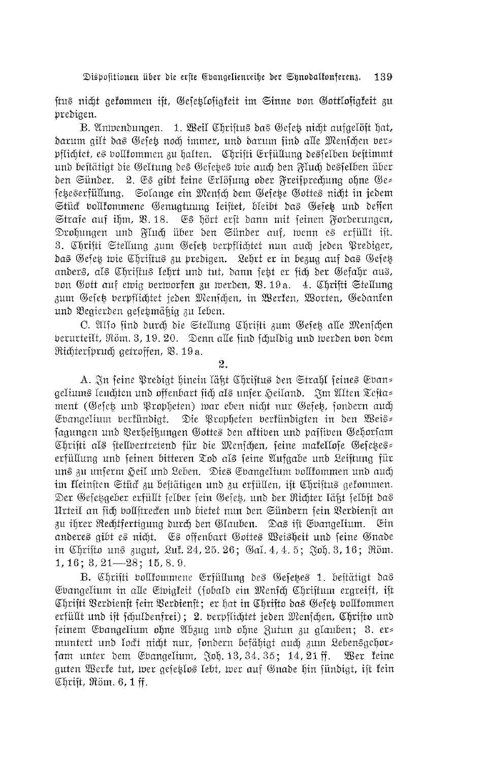ftus nicht gekommen ift, Gesetlosigkeit im Sinne von Gottlosigkeit zu predigen.

B. Antvendungen. 1. Weil Chriftus das Gefeß nicht aufgelöft hat, darum gilt das Gesetz noch immer, und darum sind alle Menschen vers pflichtet, es vollfommen zu halten. Chrifti Grfüllung desfelben beftimmt und bestätigt die Geltung des Gesetzes wie auch den Fluch desselben über den Sünder. 2. Es gibt keine Erlösung oder Freisprechung ohne Ge= setzeserfüllung. Solange ein Mensch dem Gefetze Gottes nicht in jedem Stück vollkommene Genugtuung leiftet, bleibt das Gesetz und dessen Strafe auf ihm, V. 18. Es hört erft dann mit seinen Forderungen, Drohungen und Fluch über den Sünder auf, wenn es erfüllt ist. 3. Chrifti Stellung zum Gesetz verpflichtet nun auch jeden Prediger, das Gesetz wie Chriftus zu predigen. Lehrt er in bezug auf das Gesetz anders, als Chriftus lehrt und tut, dann sett er sich der Gefahr aus, bon Gott auf ewig berworfen zu werden, V. 19a. 4. Chrifti Stellung zum Gesetz verpflichtet jeden Menschen, in Werken, Worten, Gedanken und Begierden gesetzmäßig zu leben.

C. Also find durch die Stellung Christi zum Gesetz alle Menschen berurteilt, Röm. 3, 19. 20. Denn alle find fchuldig und werden von dem Richterspruch getroffen, V. 19a.

 $2.$ 

A. In seine Predigt hinein läßt Chriftus den Strahl feines Gvan= geliums leuchten und offenbart sich als unser Heiland. Im Alten Testa= ment (Gesetz und Propheten) war eben nicht nur Gesetz, sondern auch Evangelium berkündigt. Die Propheten berkündigten in den Weis= fagungen und Verheißungen Gottes den aktiven und passiven Gehorsam Christi als stellvertretend für die Menschen, seine makellose Gesetzes erfüllung und seinen bitteren Tod als seine Aufgabe und Leiftung für uns zu unserm Heil und Leben. Dies Evangelium vollkommen und auch im kleinsten Stück zu bestätigen und zu erfüllen, ist Christus gekommen. Der Gefetzgeber erfüllt felber fein Gefet, und der Richter läßt felbst das Urteil an sich bollstrecken und bietet nun den Sündern sein Verdienst an zu ihrer Rechtfertigung durch den Glauben. Das ist Evangelium. Ein anderes gibt es nicht. Es offenbart Gottes Weisheit und seine Gnade in Chrifto uns zugut, Lut. 24, 25. 26; Gal. 4, 4. 5; Joh. 3, 16; Röm.  $1, 16$ ;  $3, 21$  - 28; 15, 8, 9.

B. Chrifti vollkommene Erfüllung des Gesetzes 1. bestätigt das Evangelium in alle Ewigfeit (sobald ein Mensch Christum ergreift, ist Chrifti Berdienft fein Berdienft; er hat in Chrifto das Gefet vollfommen erfüllt und ift fchuldenfrei); 2. berpflichtet jeden Menfchen, Chrifto und seinem Evangelium ohne Abzug und ohne Zutun zu glauben; 3. er= muntert und lockt nicht nur, sondern befähigt auch zum Lebensgehor= fam unter dem Gbangelium, Joh. 13, 34. 35; 14, 21 ff. Wer feine guten Werfe tut, wer gesetlos lebt, wer auf Gnade hin fündigt, ist fein Christ, Röm. 6, 1 ff.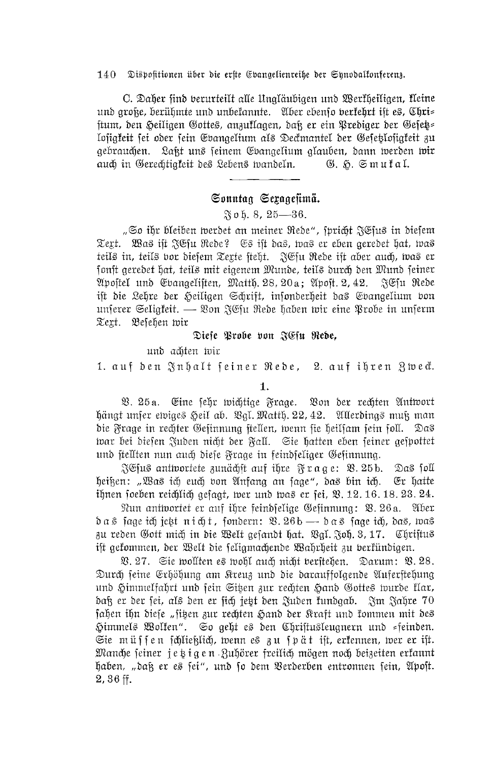C. Daher find berurteilt alle Ungläubigen und Werfheiligen, fleine und große, berühmte und unbekannte. Aber ebenso berkehrt ist es, Chri= ftum, den Heiligen Gottes, anzuflagen, daß er ein Prediger der Gesetz= losigfeit sei oder sein Gvangelium als Deckmantel der Gesetzbligfeit zu gebrauchen. Laßt uns seinem Ebangelium glauben, dann werden wir auch in Gerechtigkeit des Lebens wandeln. G. H. Smufal.

# Sonntag Sexagesimä.

 $\frac{\alpha}{20}$  o h. 8, 25-86.

"So ihr bleiben werdet an meiner Rede", spricht JCsus in diesem Text. Was ift JGfu Rede? Es ift das, was er eben geredet hat, was teils in, teils vor diefem Texte fteht. JEfu Rede ift aber auch, was er fonft geredet hat, teils mit eigenem Munde, teils durch den Mund feiner Apostel und Evangelisten, Matth. 28, 20a; Apost. 2, 42. JEfu Rede ift die Lehre der Heiligen Schrift, infonderheit das Evangelium bon unferer Seligfeit. — Von JEfu Rede haben wir eine Probe in unferm Text. Besehen wir

Diese Probe von JEfu Rebe,

und achten wir

1. auf den Inhalt feiner Rede, 2. auf ihren Zweck.

 $\mathbf{1}$ 

 $\mathfrak{B}$ . 25a. Eine sehr wichtige Frage. Von der rechten Antwort hängt unfer ewiges Heil ab. Bgl. Matth. 22, 42. Allerdings muß man die Frage in rechter Gefinnung ftellen, wenn fie heilfam fein foll. Das tvar bei diesen Juden nicht der Fall. Sie hatten eben seiner gespottet und fiellten nun auch diefe Frage in feindfeliger Gefinnung.

SG us antwortete zunächst auf ihre Frage: Q. 25b. Das foll heiken: "Was ich euch von Anfang an fage", das bin ich. Er hatte ihnen foeben reichlich gefagt, wer und was er fei, Q. 12. 16. 18. 23. 24.

Nun antwortet er auf ihre feindselige Gesinnung: V. 26a. Aber  $\delta$ as jage ich jett nicht, jondern:  $\mathfrak{B}$ .  $26b \rightarrow \delta$ as jage ich, das, was zu reden Gott mich in die Welt gefandt hat. Bgl. Joh. 3, 17. Chriftus ift gekommen, der Welt die feligmachende Wahrheit zu berkündigen.

V. 27. Sie wollten es wohl auch nicht beritehen. Darum: V. 28. Durch seine Erhöhung am Kreuz und die darauffolgende Auferstehung und Himmelfahrt und sein Sitzen zur rechten Hand Gottes wurde Har, daß er der sei, als den er sich jetzt den Juden kundgab. Im Jahre 70 fahen ihn diese "sitzen zur rechten Hand der Kraft und kommen mit des Himmels Wolfen". So geht es den Chriftusleugnern und =feinden. Sie müssen schließlich, wenn es zu spät ist, erkennen, wer er ist. Manche seiner jetzigen Zuhörer freilich mögen noch beizeiten erkannt haben, "daß er es sei", und so dem Verderben entronnen sein, Apost.  $2,36$  ff.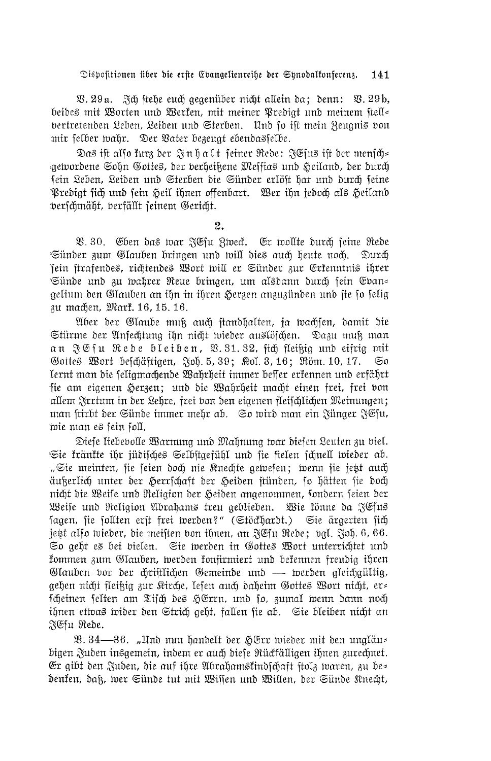V. 29 a. Sch stehe euch gegenüber nicht allein da; denn: V. 29b, beides mit Worten und Werfen, mit meiner Predigt und meinem ftell= vertretenden Leben, Leiden und Sterben. Und so ist mein Zeugnis von mir felber wahr. Der Vater bezeugt ebendasfelbe.

Das ift also furz der Jnhalt seiner Rede: JEfus ift der mensch= gewordene Sohn Gottes, der berheißene Meffias und Heiland, der durch sein Leben, Leiden und Sterben die Sünder erlöst hat und durch seine Predigt fich und sein Heil ihnen offenbart. Wer ihn jedoch als Heiland verschmäht, verfällt seinem Gericht.

2.

V. 30. Eben das war JEfu Zweck. Er wollte durch feine Rede Sünder zum Glauben bringen und will dies auch heute noch. Durch sein ftrafendes, richtendes Wort will er Sünder zur Erkenntnis ihrer Sünde und zu wahrer Reue bringen, um alsdann durch sein Evan= gelium den Glauben an ihn in ihren Herzen anzuzünden und fie fo felig zu machen, Mark. 16, 15. 16.

Aber der Glaube muß auch standhalten, ja wachsen, damit die Stürme der Anfechtung ihn nicht wieder auslöschen. Dazu muß man an JG fu Rede bleiben, B. 31. 32, fich fleißig und eifrig mit Gottes Wort beschäftigen, Joh. 5, 39; Rol. 3, 16; Röm. 10, 17. Gσ lernt man die feligmachende Wahrheit immer beffer erkennen und erfährt sie am eigenen Herzen; und die Wahrheit macht einen frei, frei bon allem Irrtum in der Lehre, frei von den eigenen fleifchlichen Meinungen; man stirbt der Sünde immer mehr ab. So wird man ein Jünger JEsu, wie man es sein soll.

Diefe liebebolle Warnung und Mahnung war diefen Leuten zu biel. Sie kränkte ihr jüdisches Selbstgefühl und sie fielen schnell wieder ab. "Sie meinten, sie seien doch nie Knechte gewesen; wenn sie jett auch äußerlich unter der Herrschaft der Heiden stünden, so hätten sie doch nicht die Weise und Religion der Heiden angenommen, sondern seien der Weife und Religion Abrahams treu geblieben. Wie fönne da JEfus fagen, fie follten erst frei werden?" (Stöckhardt.) Sie ärgerten fich jest also wieder, die meiften von ihnen, an JEfu Rede; vgl. Joh. 6, 66. So geht es bei bielen. Sie werden in Gottes Wort unterrichtet und fommen zum Glauben, werden fonfirmiert und befennen freudig ihren Glauben vor der chriftlichen Gemeinde und — werden gleichgültig, gehen nicht fleikig zur Kirche, lefen auch daheim Gottes Wort nicht, er= fcheinen felten am Tifch des HErrn, und fo, zumal wenn dann noch ihnen etwas wider den Strich geht, fallen fie ab. Sie bleiben nicht an FCfu Rede.

V. 34—36. "Und nun handelt der HErr wieder mit den ungläu= bigen Zuden insgemein, indem er auch diese Rückfälligen ihnen zurechnet. Er gibt den Juden, die auf ihre Abrahamstindfchaft ftolz waren, zu be= denken, daß, wer Sünde tut mit Wissen und Willen, der Sünde Knecht,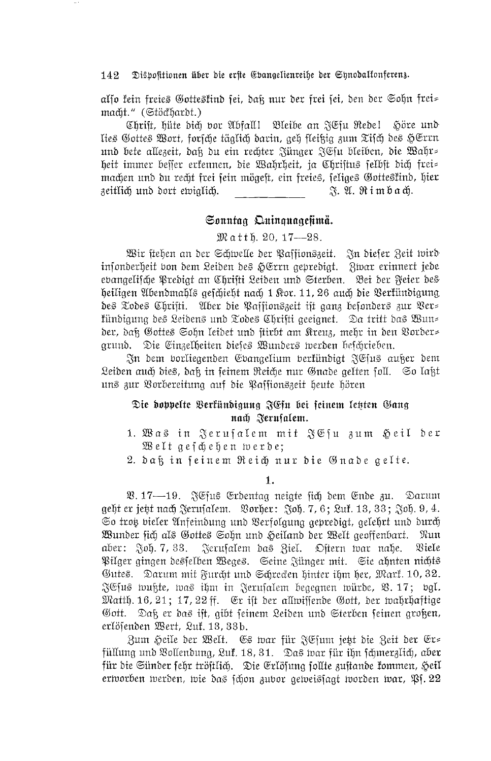also fein freies Gottestind sei, daß nur der frei sei, den der Sohn frei= macht." (Stöckhardt.)

Christ, hüte dich vor Abfall! Bleibe an JGsu Redel Söre und lies Gottes Wort, forsche täglich darin, geh fleißig zum Tisch des HErrn und bete allezeit, daß du ein rechter Jünger JEsu bleiben, die Wahr= heit immer besser erkennen, die Wahrheit, ja Christus selbst dich frei= machen und du recht frei sein mögest, ein freies, seliges Gottestind, hier zeitlich und dort ewiglich. A. A. Rimbach.

# Sonntag Quinquagesimä.

 $\mathfrak{M}$  atth. 20, 17--28.

Wir stehen an der Schwelle der Paffionszeit. In diefer Zeit wird insonderheit von dem Leiden des HErrn gepredigt. Zwar erinnert jede evangelische Predigt an Chrifti Leiden und Sterben. Bei der Feier des heiligen Abendmahls gefchieht nach 1 Kor. 11, 26 auch die Verfündigung des Todes Chrifti. Aber die Paffionszeit ist ganz befonders zur Ver= fündigung des Leidens und Todes Chrifti geeignet. Da tritt das Wun= der, daß Gottes Sohn leidet und stirbt am Kreuz, mehr in den Vorder= grund. Die Einzelheiten dieses Wunders werden beschrieben.

In dem vorliegenden Evangelium verkündigt ICsus außer dem Leiden auch dies, daß in feinem Reiche nur Gnade gelten foll. So laßt uns zur Vorbereitung auf die Passionszeit heute hören

# Die doppelte Berkündigung JEfu bei seinem letzten Gang nach Jerusalem.

- 1. Was in Jerufalem mit JEfu zum Heil der Welt geschehen werde;
- 2. daß in seinem Reich nur die Gnade gelte.

1.

V. 17—19. JEsus Erdentag neigte sich dem Ende zu. Darum geht er jett nach Jerufalem. Vorher: Joh. 7, 6; Luf. 13, 33; Joh. 9, 4. So trot bieler Anfeindung und Verfolgung gepredigt, gelehrt und durch Wunder fich als Gottes Sohn und Heiland der Welt geoffenbart. - Nun aber:  $\delta$ oh. 7, 33. Ferusalem das Ziel. Oftern war nahe. <sup>2</sup>Siele Pilger gingen desfelben Weges. Seine Zünger mit. Sie ahnten nichts Gutes. Darum mit Furcht und Schrecken hinter ihm her, Mark. 10, 32. JEfus wußte, was ihm in Jerufalem begegnen würde, V. 17; bgl. Matth. 16, 21; 17, 22 ff. Er ift der allmiffende Gott, der mahrhaftige Gott. Daß er das ist, gibt seinem Leiden und Sterben seinen großen, erlöfenden Wert, Luf. 13, 33b.

Zum Heile der Welt. Es war für JEfum jett die Zeit der Er= füllung und Bollendung, Luf. 18, 31. Das war für ihn fchmerzlich, aber für die Sünder fehr tröftlich. Die Erlöfung follte zuftande kommen, Heil ertvorben werden, wie das schon zubor geweissagt worden war, Pf. 22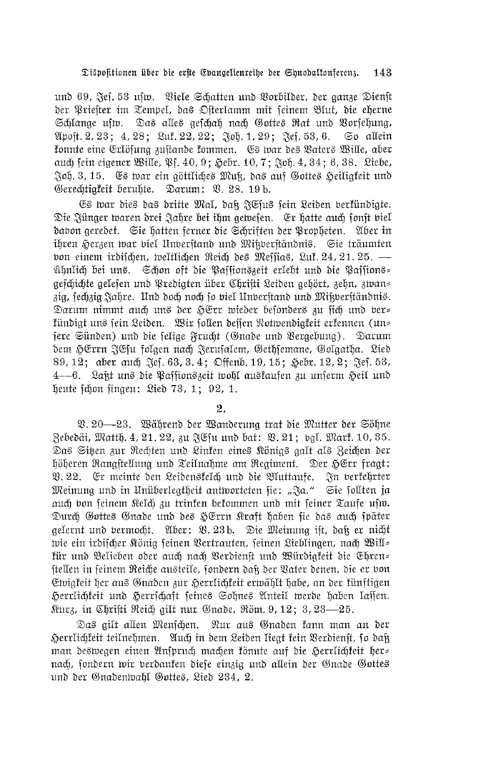und 69, Jef. 53 usm. Viele Schatten und Vorbilder, der ganze Dienst der Priefter im Tempel, das Ofterlamm mit seinem Blut, die eherne Schlange ufw. Das alles gefchah nach Gottes Rat und Vorfehung, Apost. 2, 23; 4, 28; Luf. 22, 22; Joh. 1, 29; Jes. 53, 6. So allein fonnte eine Erlöfung zuftande fommen. Es war des Vaters Wille, aber auch fein eigener Wille, \$1. 40; 9; Hebr. 10, 7; Joh. 4, 34; 6, 38. Liebe, Joh. 3, 15. Es war ein göttliches Muß, das auf Gottes Heiligfeit und Gerechtigkeit beruhte. Darum: V. 28. 19b.

Es war dies das dritte Mal, daß JEfus fein Leiden verfündigte. Die Zünger waren drei Zahre bei ihm gewesen. Er hatte auch sonst viel dabon geredet. Sie hatten ferner die Schriften der Propheten. Aber in ihren Herzen war viel Unverstand und Mißverständnis. Sie träumten von einem irdifchen, weltlichen Reich des Meffias, Luf. 24, 21. 25. ühnlich bei uns. Schon oft die Paffionszeit erlebt und die Paffions= gefchichte gelefen und Predigten über Chrifti Leiden gehört, zehn, zwan= zig, fechzig Jahre. Und doch noch fo viel Unberftand und Mikberftändnis. Darum nimmt auch uns der HErr wieder besonders zu sich und ber= fündigt uns sein Leiden. Wir sollen deffen Notwendigfeit erfennen (un= fere Sünden) und die felige Frucht (Gnade und Vergebung). Darum dem HErrn JEfu folgen nach Jerufalem, Gethfemane, Golgatha. Lied 89, 12; aber auch Sef. 63, 3.4; Offenb. 19, 15; Hebr. 12, 2; Sef. 53, 4—6. Laßt uns die Paffionszeit wohl auskaufen zu unferm Heil und heute fchon fingen: Lied 73, 1; 92, 1.

2.

V. 20—23. Während der Wanderung trat die Mutter der Söhne Zebedäi, Matth. 4, 21. 22, zu JChu und bat: V. 21; bgl. Mart. 10, 35. Das Siten zur Rechten und Linken eines Königs galt als Zeichen der höheren Rangstellung und Teilnahme am Regiment. Der HErr fragt: Q. 22. Er meinte den Leidenskelch und die Bluttaufe. In verkehrter Meinung und in Unüberlegtheit antworteten sie: "Ja." Sie sollten ja auch von seinem Kelch zu trinken bekommen und mit seiner Taufe usw. Durch Gottes Gnade und des HErrn Kraft haben fie das auch fpäter gelernt und bermocht. Aber: V. 23b. Die Meinung ist, daß er nicht wie ein irdifcher König seinen Vertrauten, seinen Lieblingen, nach Will= für und Belieben oder auch nach Berdienst und Würdigfeit die Ehren= ftellen in feinem Reiche austeile, fondern daß der Vater denen, die er von Ewigfeit her aus Gnaden zur Herrlichfeit erwählt habe, an der fünftigen Herrlichkeit und Herrschaft seines Sohnes Anteil werde haben lassen. Kurz, in Chrifti Reich gilt nur Gnade, Röm. 9, 12; 3, 23—25.

Das ailt allen Menschen. Nur aus Gnaden fann man an der Herrlichfeit teilnehmen. Auch in dem Leiden liegt fein Verdienst, so daß man deswegen einen Anspruch machen fönnte auf die Herrlichfeit her= nach, sondern wir berdaufen diese einzig und allein der Gnade Gottes und der Gnadenwahl Gottes, Lied 234, 2.